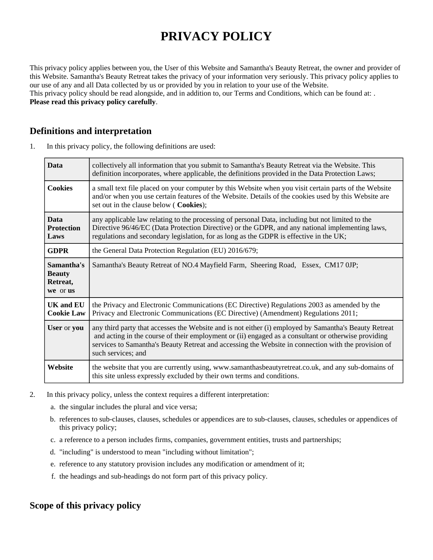# **PRIVACY POLICY**

This privacy policy applies between you, the User of this Website and Samantha's Beauty Retreat, the owner and provider of this Website. Samantha's Beauty Retreat takes the privacy of your information very seriously. This privacy policy applies to our use of any and all Data collected by us or provided by you in relation to your use of the Website. This privacy policy should be read alongside, and in addition to, our Terms and Conditions, which can be found at: . **Please read this privacy policy carefully**.

#### **Definitions and interpretation**

1. In this privacy policy, the following definitions are used:

| <b>Data</b>                                         | collectively all information that you submit to Samantha's Beauty Retreat via the Website. This<br>definition incorporates, where applicable, the definitions provided in the Data Protection Laws;                                                                                                                                       |
|-----------------------------------------------------|-------------------------------------------------------------------------------------------------------------------------------------------------------------------------------------------------------------------------------------------------------------------------------------------------------------------------------------------|
| <b>Cookies</b>                                      | a small text file placed on your computer by this Website when you visit certain parts of the Website<br>and/or when you use certain features of the Website. Details of the cookies used by this Website are<br>set out in the clause below (Cookies);                                                                                   |
| <b>Data</b><br><b>Protection</b><br>Laws            | any applicable law relating to the processing of personal Data, including but not limited to the<br>Directive 96/46/EC (Data Protection Directive) or the GDPR, and any national implementing laws,<br>regulations and secondary legislation, for as long as the GDPR is effective in the UK;                                             |
| <b>GDPR</b>                                         | the General Data Protection Regulation (EU) 2016/679;                                                                                                                                                                                                                                                                                     |
| Samantha's<br><b>Beauty</b><br>Retreat,<br>we or us | Samantha's Beauty Retreat of NO.4 Mayfield Farm, Sheering Road, Essex, CM17 0JP;                                                                                                                                                                                                                                                          |
| <b>UK and EU</b><br><b>Cookie Law</b>               | the Privacy and Electronic Communications (EC Directive) Regulations 2003 as amended by the<br>Privacy and Electronic Communications (EC Directive) (Amendment) Regulations 2011;                                                                                                                                                         |
| User or you                                         | any third party that accesses the Website and is not either (i) employed by Samantha's Beauty Retreat<br>and acting in the course of their employment or (ii) engaged as a consultant or otherwise providing<br>services to Samantha's Beauty Retreat and accessing the Website in connection with the provision of<br>such services; and |
| Website                                             | the website that you are currently using, www.samanthasbeautyretreat.co.uk, and any sub-domains of<br>this site unless expressly excluded by their own terms and conditions.                                                                                                                                                              |

- 2. In this privacy policy, unless the context requires a different interpretation:
	- a. the singular includes the plural and vice versa;
	- b. references to sub-clauses, clauses, schedules or appendices are to sub-clauses, clauses, schedules or appendices of this privacy policy;
	- c. a reference to a person includes firms, companies, government entities, trusts and partnerships;
	- d. "including" is understood to mean "including without limitation";
	- e. reference to any statutory provision includes any modification or amendment of it;
	- f. the headings and sub-headings do not form part of this privacy policy.

## **Scope of this privacy policy**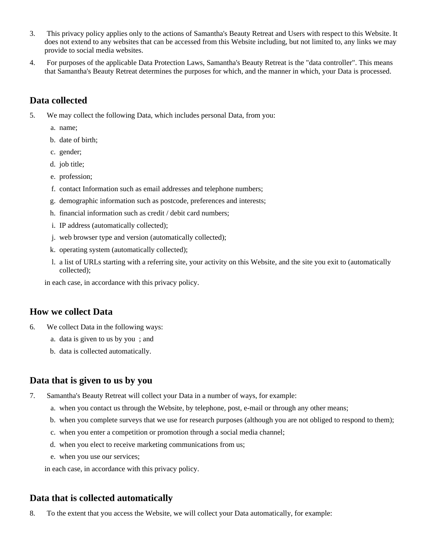- 3. This privacy policy applies only to the actions of Samantha's Beauty Retreat and Users with respect to this Website. It does not extend to any websites that can be accessed from this Website including, but not limited to, any links we may provide to social media websites.
- 4. For purposes of the applicable Data Protection Laws, Samantha's Beauty Retreat is the "data controller". This means that Samantha's Beauty Retreat determines the purposes for which, and the manner in which, your Data is processed.

### **Data collected**

- 5. We may collect the following Data, which includes personal Data, from you:
	- a. name;
	- b. date of birth;
	- c. gender;
	- d. job title;
	- e. profession;
	- f. contact Information such as email addresses and telephone numbers;
	- g. demographic information such as postcode, preferences and interests;
	- h. financial information such as credit / debit card numbers;
	- i. IP address (automatically collected);
	- j. web browser type and version (automatically collected);
	- k. operating system (automatically collected);
	- l. a list of URLs starting with a referring site, your activity on this Website, and the site you exit to (automatically collected);

in each case, in accordance with this privacy policy.

#### **How we collect Data**

- 6. We collect Data in the following ways:
	- a. data is given to us by you ; and
	- b. data is collected automatically.

#### **Data that is given to us by you**

- 7. Samantha's Beauty Retreat will collect your Data in a number of ways, for example:
	- a. when you contact us through the Website, by telephone, post, e-mail or through any other means;
	- b. when you complete surveys that we use for research purposes (although you are not obliged to respond to them);
	- c. when you enter a competition or promotion through a social media channel;
	- d. when you elect to receive marketing communications from us;
	- e. when you use our services;

in each case, in accordance with this privacy policy.

#### **Data that is collected automatically**

8. To the extent that you access the Website, we will collect your Data automatically, for example: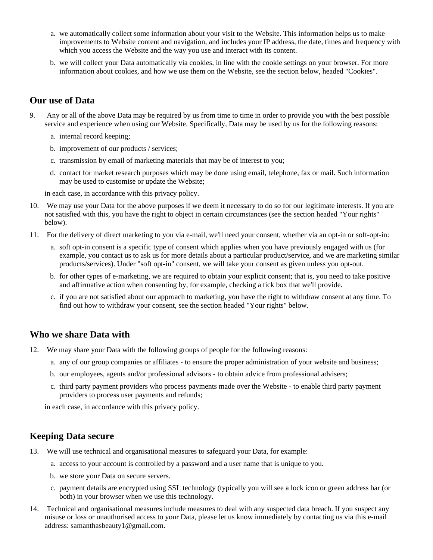- a. we automatically collect some information about your visit to the Website. This information helps us to make improvements to Website content and navigation, and includes your IP address, the date, times and frequency with which you access the Website and the way you use and interact with its content.
- b. we will collect your Data automatically via cookies, in line with the cookie settings on your browser. For more information about cookies, and how we use them on the Website, see the section below, headed "Cookies".

#### **Our use of Data**

- 9. Any or all of the above Data may be required by us from time to time in order to provide you with the best possible service and experience when using our Website. Specifically, Data may be used by us for the following reasons:
	- a. internal record keeping;
	- b. improvement of our products / services;
	- c. transmission by email of marketing materials that may be of interest to you;
	- d. contact for market research purposes which may be done using email, telephone, fax or mail. Such information may be used to customise or update the Website;

in each case, in accordance with this privacy policy.

- 10. We may use your Data for the above purposes if we deem it necessary to do so for our legitimate interests. If you are not satisfied with this, you have the right to object in certain circumstances (see the section headed "Your rights" below).
- 11. For the delivery of direct marketing to you via e-mail, we'll need your consent, whether via an opt-in or soft-opt-in:
	- a. soft opt-in consent is a specific type of consent which applies when you have previously engaged with us (for example, you contact us to ask us for more details about a particular product/service, and we are marketing similar products/services). Under "soft opt-in" consent, we will take your consent as given unless you opt-out.
	- b. for other types of e-marketing, we are required to obtain your explicit consent; that is, you need to take positive and affirmative action when consenting by, for example, checking a tick box that we'll provide.
	- c. if you are not satisfied about our approach to marketing, you have the right to withdraw consent at any time. To find out how to withdraw your consent, see the section headed "Your rights" below.

#### **Who we share Data with**

- 12. We may share your Data with the following groups of people for the following reasons:
	- a. any of our group companies or affiliates to ensure the proper administration of your website and business;
	- b. our employees, agents and/or professional advisors to obtain advice from professional advisers;
	- c. third party payment providers who process payments made over the Website to enable third party payment providers to process user payments and refunds;

in each case, in accordance with this privacy policy.

#### **Keeping Data secure**

- 13. We will use technical and organisational measures to safeguard your Data, for example:
	- a. access to your account is controlled by a password and a user name that is unique to you.
	- b. we store your Data on secure servers.
	- c. payment details are encrypted using SSL technology (typically you will see a lock icon or green address bar (or both) in your browser when we use this technology.
- 14. Technical and organisational measures include measures to deal with any suspected data breach. If you suspect any misuse or loss or unauthorised access to your Data, please let us know immediately by contacting us via this e-mail address: samanthasbeauty1@gmail.com.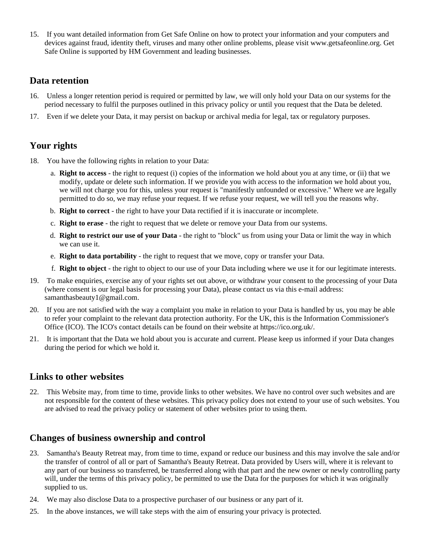15. If you want detailed information from Get Safe Online on how to protect your information and your computers and devices against fraud, identity theft, viruses and many other online problems, please visit www.getsafeonline.org. Get Safe Online is supported by HM Government and leading businesses.

#### **Data retention**

- 16. Unless a longer retention period is required or permitted by law, we will only hold your Data on our systems for the period necessary to fulfil the purposes outlined in this privacy policy or until you request that the Data be deleted.
- 17. Even if we delete your Data, it may persist on backup or archival media for legal, tax or regulatory purposes.

## **Your rights**

- 18. You have the following rights in relation to your Data:
	- a. **Right to access** the right to request (i) copies of the information we hold about you at any time, or (ii) that we modify, update or delete such information. If we provide you with access to the information we hold about you, we will not charge you for this, unless your request is "manifestly unfounded or excessive." Where we are legally permitted to do so, we may refuse your request. If we refuse your request, we will tell you the reasons why.
	- b. **Right to correct** the right to have your Data rectified if it is inaccurate or incomplete.
	- c. **Right to erase** the right to request that we delete or remove your Data from our systems.
	- d. **Right to restrict our use of your Data** the right to "block" us from using your Data or limit the way in which we can use it.
	- e. **Right to data portability** the right to request that we move, copy or transfer your Data.
	- f. **Right to object** the right to object to our use of your Data including where we use it for our legitimate interests.
- 19. To make enquiries, exercise any of your rights set out above, or withdraw your consent to the processing of your Data (where consent is our legal basis for processing your Data), please contact us via this e-mail address: samanthasbeauty1@gmail.com.
- 20. If you are not satisfied with the way a complaint you make in relation to your Data is handled by us, you may be able to refer your complaint to the relevant data protection authority. For the UK, this is the Information Commissioner's Office (ICO). The ICO's contact details can be found on their website at https://ico.org.uk/.
- 21. It is important that the Data we hold about you is accurate and current. Please keep us informed if your Data changes during the period for which we hold it.

#### **Links to other websites**

22. This Website may, from time to time, provide links to other websites. We have no control over such websites and are not responsible for the content of these websites. This privacy policy does not extend to your use of such websites. You are advised to read the privacy policy or statement of other websites prior to using them.

#### **Changes of business ownership and control**

- 23. Samantha's Beauty Retreat may, from time to time, expand or reduce our business and this may involve the sale and/or the transfer of control of all or part of Samantha's Beauty Retreat. Data provided by Users will, where it is relevant to any part of our business so transferred, be transferred along with that part and the new owner or newly controlling party will, under the terms of this privacy policy, be permitted to use the Data for the purposes for which it was originally supplied to us.
- 24. We may also disclose Data to a prospective purchaser of our business or any part of it.
- 25. In the above instances, we will take steps with the aim of ensuring your privacy is protected.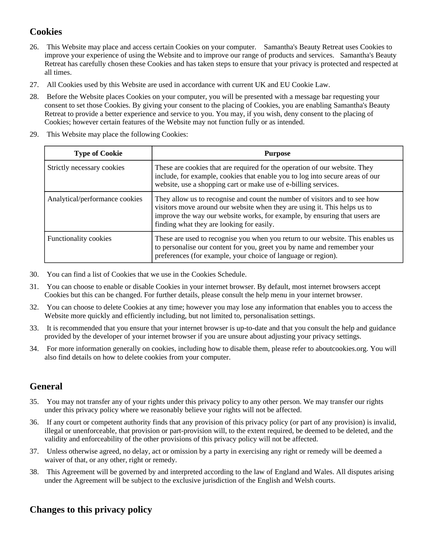## **Cookies**

- 26. This Website may place and access certain Cookies on your computer. Samantha's Beauty Retreat uses Cookies to improve your experience of using the Website and to improve our range of products and services. Samantha's Beauty Retreat has carefully chosen these Cookies and has taken steps to ensure that your privacy is protected and respected at all times.
- 27. All Cookies used by this Website are used in accordance with current UK and EU Cookie Law.
- 28. Before the Website places Cookies on your computer, you will be presented with a message bar requesting your consent to set those Cookies. By giving your consent to the placing of Cookies, you are enabling Samantha's Beauty Retreat to provide a better experience and service to you. You may, if you wish, deny consent to the placing of Cookies; however certain features of the Website may not function fully or as intended.
- 29. This Website may place the following Cookies:

| <b>Type of Cookie</b>          | <b>Purpose</b>                                                                                                                                                                                                                                                                     |
|--------------------------------|------------------------------------------------------------------------------------------------------------------------------------------------------------------------------------------------------------------------------------------------------------------------------------|
| Strictly necessary cookies     | These are cookies that are required for the operation of our website. They<br>include, for example, cookies that enable you to log into secure areas of our<br>website, use a shopping cart or make use of e-billing services.                                                     |
| Analytical/performance cookies | They allow us to recognise and count the number of visitors and to see how<br>visitors move around our website when they are using it. This helps us to<br>improve the way our website works, for example, by ensuring that users are<br>finding what they are looking for easily. |
| <b>Functionality cookies</b>   | These are used to recognise you when you return to our website. This enables us<br>to personalise our content for you, greet you by name and remember your<br>preferences (for example, your choice of language or region).                                                        |

- 30. You can find a list of Cookies that we use in the Cookies Schedule.
- 31. You can choose to enable or disable Cookies in your internet browser. By default, most internet browsers accept Cookies but this can be changed. For further details, please consult the help menu in your internet browser.
- 32. You can choose to delete Cookies at any time; however you may lose any information that enables you to access the Website more quickly and efficiently including, but not limited to, personalisation settings.
- 33. It is recommended that you ensure that your internet browser is up-to-date and that you consult the help and guidance provided by the developer of your internet browser if you are unsure about adjusting your privacy settings.
- 34. For more information generally on cookies, including how to disable them, please refer to aboutcookies.org. You will also find details on how to delete cookies from your computer.

## **General**

- 35. You may not transfer any of your rights under this privacy policy to any other person. We may transfer our rights under this privacy policy where we reasonably believe your rights will not be affected.
- 36. If any court or competent authority finds that any provision of this privacy policy (or part of any provision) is invalid, illegal or unenforceable, that provision or part-provision will, to the extent required, be deemed to be deleted, and the validity and enforceability of the other provisions of this privacy policy will not be affected.
- 37. Unless otherwise agreed, no delay, act or omission by a party in exercising any right or remedy will be deemed a waiver of that, or any other, right or remedy.
- 38. This Agreement will be governed by and interpreted according to the law of England and Wales. All disputes arising under the Agreement will be subject to the exclusive jurisdiction of the English and Welsh courts.

## **Changes to this privacy policy**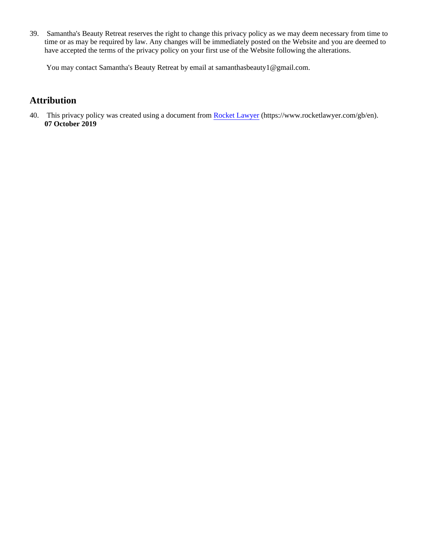39. Samantha's Beauty Retreat reserves the right to change this privacy policy as we may deem necessary from time to time or as may be required by law. Any changes will be immediately posted on the Website and you are deemed to have accepted the terms of the privacy policy on your first use of the Website following the alterations.

You may contact Samantha's Beauty Retreat by email at samanthasbeauty1@gmail.com.

## **Attribution**

40. This privacy policy was created using a document from [Rocket Lawyer](https://www.rocketlawyer.com/gb/en/) (https://www.rocketlawyer.com/gb/en). **07 October 2019**